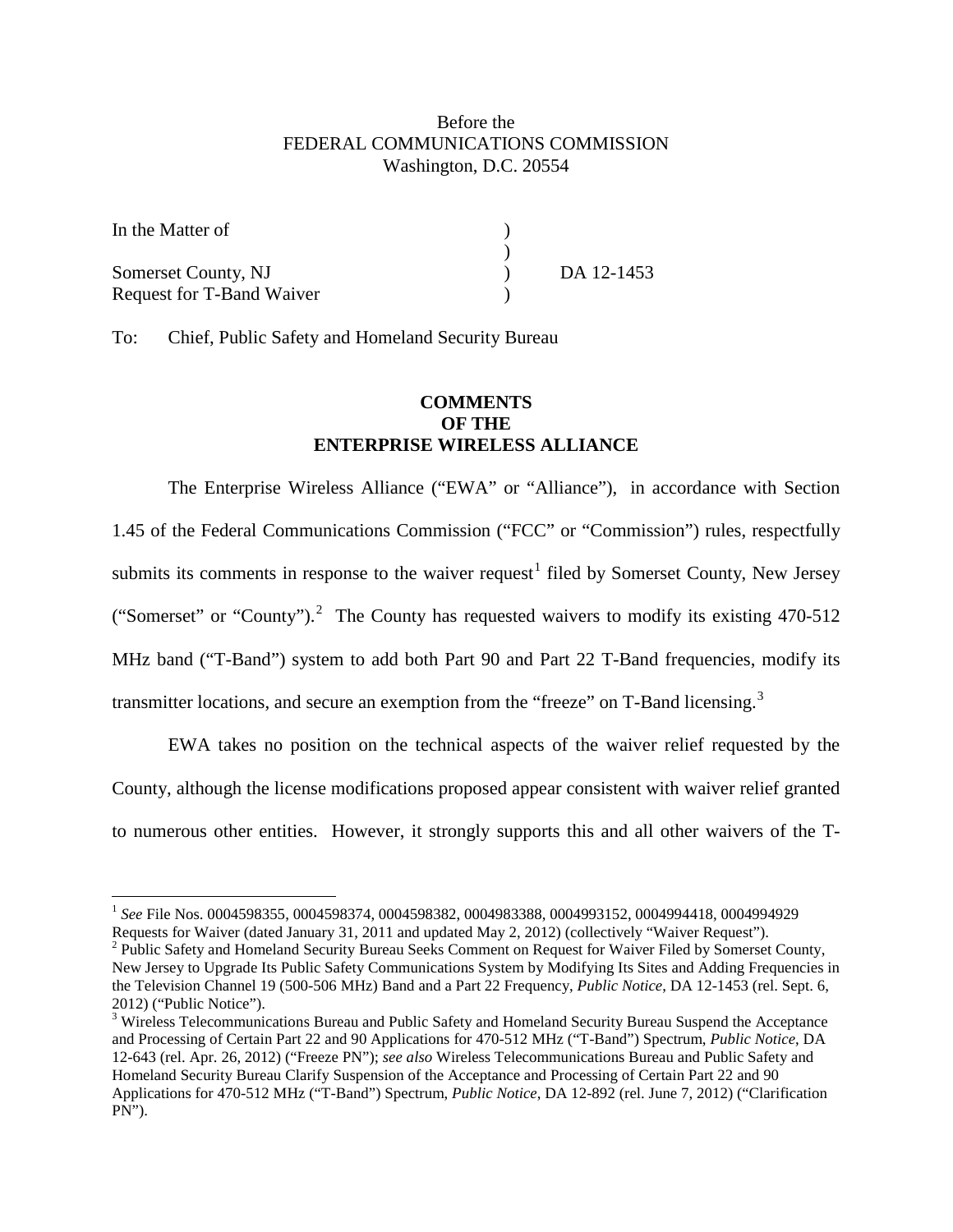## Before the FEDERAL COMMUNICATIONS COMMISSION Washington, D.C. 20554

| In the Matter of                 |            |
|----------------------------------|------------|
|                                  |            |
| Somerset County, NJ              | DA 12-1453 |
| <b>Request for T-Band Waiver</b> |            |

To: Chief, Public Safety and Homeland Security Bureau

## **COMMENTS OF THE ENTERPRISE WIRELESS ALLIANCE**

The Enterprise Wireless Alliance ("EWA" or "Alliance"), in accordance with Section 1.45 of the Federal Communications Commission ("FCC" or "Commission") rules, respectfully submits its comments in response to the waiver request<sup>[1](#page-0-0)</sup> filed by Somerset County, New Jersey ("Somerset" or "County").<sup>[2](#page-0-1)</sup> The County has requested waivers to modify its existing 470-512 MHz band ("T-Band") system to add both Part 90 and Part 22 T-Band frequencies, modify its transmitter locations, and secure an exemption from the "freeze" on T-Band licensing.<sup>[3](#page-0-2)</sup>

EWA takes no position on the technical aspects of the waiver relief requested by the County, although the license modifications proposed appear consistent with waiver relief granted to numerous other entities. However, it strongly supports this and all other waivers of the T-

<span id="page-0-0"></span> <sup>1</sup> *See* File Nos. 0004598355, 0004598374, 0004598382, 0004983388, 0004993152, 0004994418, 0004994929 Requests for Waiver (dated January 31, 2011 and updated May 2, 2012) (collectively "Waiver Request").

<span id="page-0-1"></span><sup>&</sup>lt;sup>2</sup> Public Safety and Homeland Security Bureau Seeks Comment on Request for Waiver Filed by Somerset County, New Jersey to Upgrade Its Public Safety Communications System by Modifying Its Sites and Adding Frequencies in the Television Channel 19 (500-506 MHz) Band and a Part 22 Frequency, *Public Notice*, DA 12-1453 (rel. Sept. 6, 2012) ("Public Notice").

<span id="page-0-2"></span><sup>&</sup>lt;sup>3</sup> Wireless Telecommunications Bureau and Public Safety and Homeland Security Bureau Suspend the Acceptance and Processing of Certain Part 22 and 90 Applications for 470-512 MHz ("T-Band") Spectrum, *Public Notice*, DA 12-643 (rel. Apr. 26, 2012) ("Freeze PN"); *see also* Wireless Telecommunications Bureau and Public Safety and Homeland Security Bureau Clarify Suspension of the Acceptance and Processing of Certain Part 22 and 90 Applications for 470-512 MHz ("T-Band") Spectrum, *Public Notice*, DA 12-892 (rel. June 7, 2012) ("Clarification PN").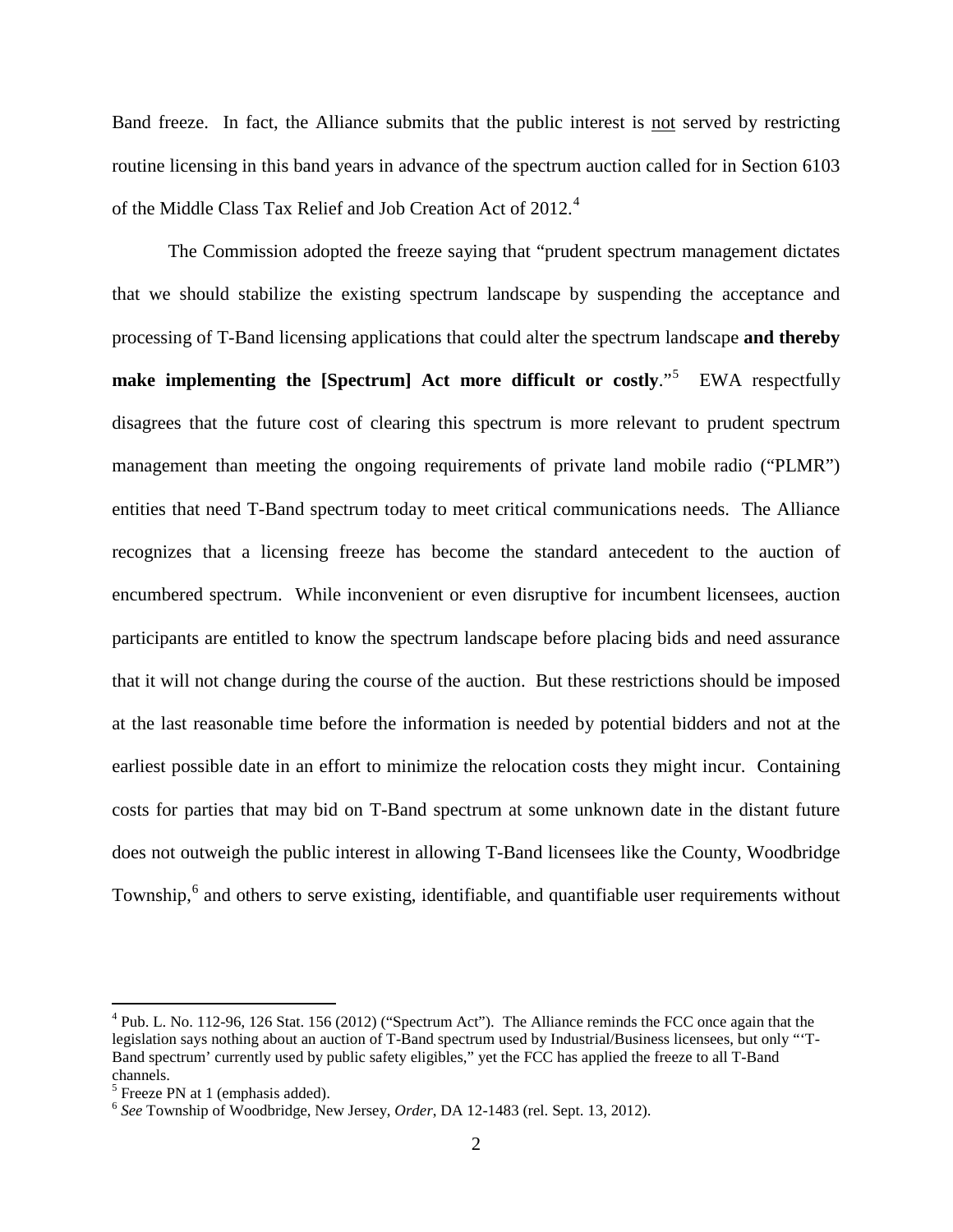Band freeze. In fact, the Alliance submits that the public interest is not served by restricting routine licensing in this band years in advance of the spectrum auction called for in Section 6103 of the Middle Class Tax Relief and Job Creation Act of 2012.<sup>[4](#page-1-0)</sup>

The Commission adopted the freeze saying that "prudent spectrum management dictates that we should stabilize the existing spectrum landscape by suspending the acceptance and processing of T-Band licensing applications that could alter the spectrum landscape **and thereby**  make implementing the [Spectrum] Act more difficult or costly."<sup>[5](#page-1-1)</sup> EWA respectfully disagrees that the future cost of clearing this spectrum is more relevant to prudent spectrum management than meeting the ongoing requirements of private land mobile radio ("PLMR") entities that need T-Band spectrum today to meet critical communications needs. The Alliance recognizes that a licensing freeze has become the standard antecedent to the auction of encumbered spectrum. While inconvenient or even disruptive for incumbent licensees, auction participants are entitled to know the spectrum landscape before placing bids and need assurance that it will not change during the course of the auction. But these restrictions should be imposed at the last reasonable time before the information is needed by potential bidders and not at the earliest possible date in an effort to minimize the relocation costs they might incur. Containing costs for parties that may bid on T-Band spectrum at some unknown date in the distant future does not outweigh the public interest in allowing T-Band licensees like the County, Woodbridge Township,<sup>[6](#page-1-2)</sup> and others to serve existing, identifiable, and quantifiable user requirements without

<span id="page-1-0"></span> <sup>4</sup> Pub. L. No. 112-96, 126 Stat. 156 (2012) ("Spectrum Act"). The Alliance reminds the FCC once again that the legislation says nothing about an auction of T-Band spectrum used by Industrial/Business licensees, but only "'T-Band spectrum' currently used by public safety eligibles," yet the FCC has applied the freeze to all T-Band channels.

<span id="page-1-1"></span> $<sup>5</sup>$  Freeze PN at 1 (emphasis added).</sup>

<span id="page-1-2"></span><sup>6</sup> *See* Township of Woodbridge, New Jersey, *Order*, DA 12-1483 (rel. Sept. 13, 2012).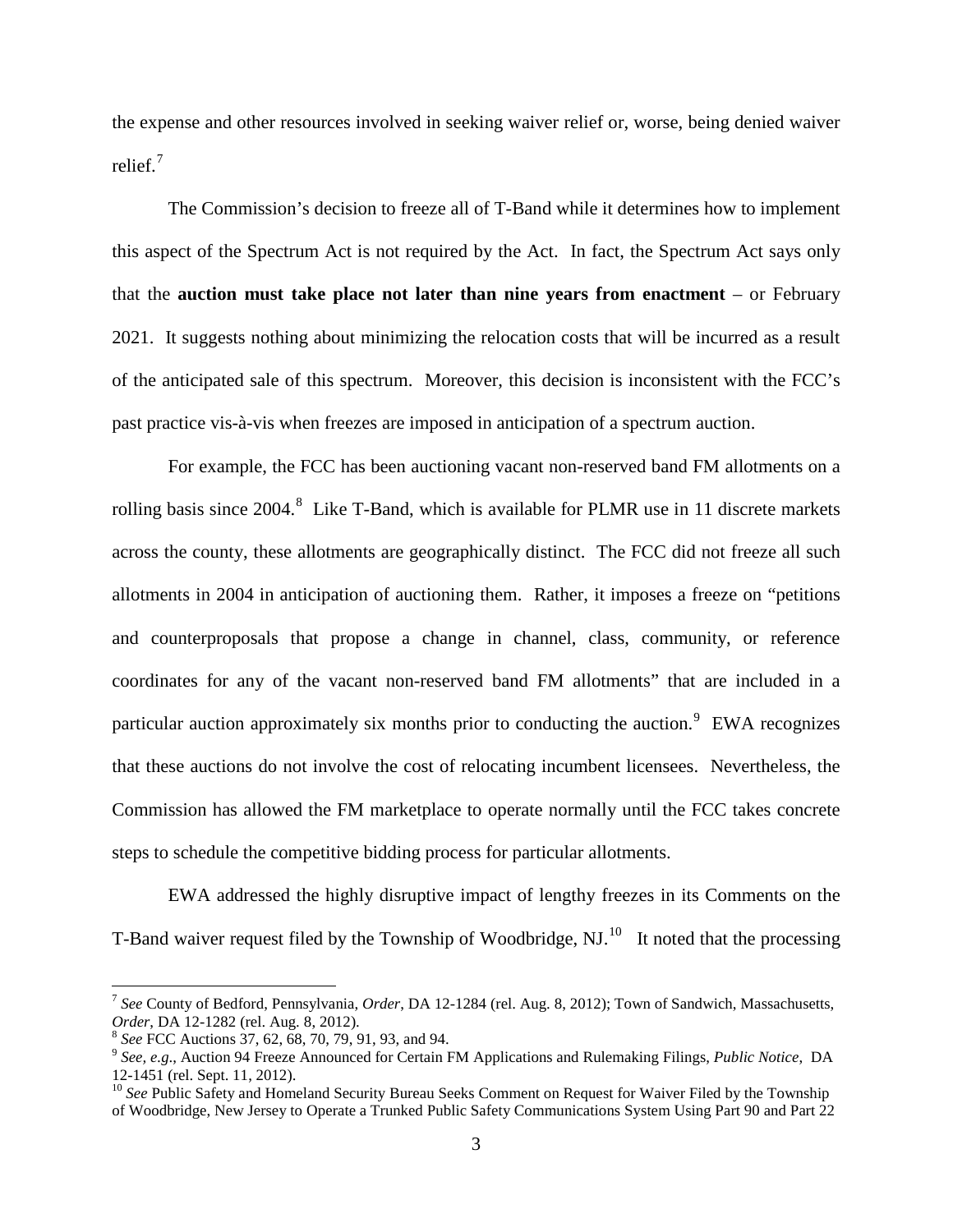the expense and other resources involved in seeking waiver relief or, worse, being denied waiver relief. $7$ 

The Commission's decision to freeze all of T-Band while it determines how to implement this aspect of the Spectrum Act is not required by the Act. In fact, the Spectrum Act says only that the **auction must take place not later than nine years from enactment** – or February 2021. It suggests nothing about minimizing the relocation costs that will be incurred as a result of the anticipated sale of this spectrum. Moreover, this decision is inconsistent with the FCC's past practice vis-à-vis when freezes are imposed in anticipation of a spectrum auction.

For example, the FCC has been auctioning vacant non-reserved band FM allotments on a rolling basis since 2004.<sup>[8](#page-2-1)</sup> Like T-Band, which is available for PLMR use in 11 discrete markets across the county, these allotments are geographically distinct. The FCC did not freeze all such allotments in 2004 in anticipation of auctioning them. Rather, it imposes a freeze on "petitions and counterproposals that propose a change in channel, class, community, or reference coordinates for any of the vacant non-reserved band FM allotments" that are included in a particular auction approximately six months prior to conducting the auction.<sup>[9](#page-2-2)</sup> EWA recognizes that these auctions do not involve the cost of relocating incumbent licensees. Nevertheless, the Commission has allowed the FM marketplace to operate normally until the FCC takes concrete steps to schedule the competitive bidding process for particular allotments.

EWA addressed the highly disruptive impact of lengthy freezes in its Comments on the T-Band waiver request filed by the Township of Woodbridge,  $NJ<sup>10</sup>$  $NJ<sup>10</sup>$  $NJ<sup>10</sup>$  It noted that the processing

<span id="page-2-0"></span> <sup>7</sup> *See* County of Bedford, Pennsylvania, *Order*, DA 12-1284 (rel. Aug. 8, 2012); Town of Sandwich, Massachusetts, *Order*, DA 12-1282 (rel. Aug. 8, 2012).<br><sup>8</sup> See FCC Auctions 37, 62, 68, 70, 79, 91, 93, and 94.

<span id="page-2-1"></span>

<span id="page-2-2"></span><sup>&</sup>lt;sup>9</sup> See, e.g., Auction 94 Freeze Announced for Certain FM Applications and Rulemaking Filings, *Public Notice*, DA 12-1451 (rel. Sept. 11, 2012).

<span id="page-2-3"></span><sup>&</sup>lt;sup>10</sup> See Public Safety and Homeland Security Bureau Seeks Comment on Request for Waiver Filed by the Township of Woodbridge, New Jersey to Operate a Trunked Public Safety Communications System Using Part 90 and Part 22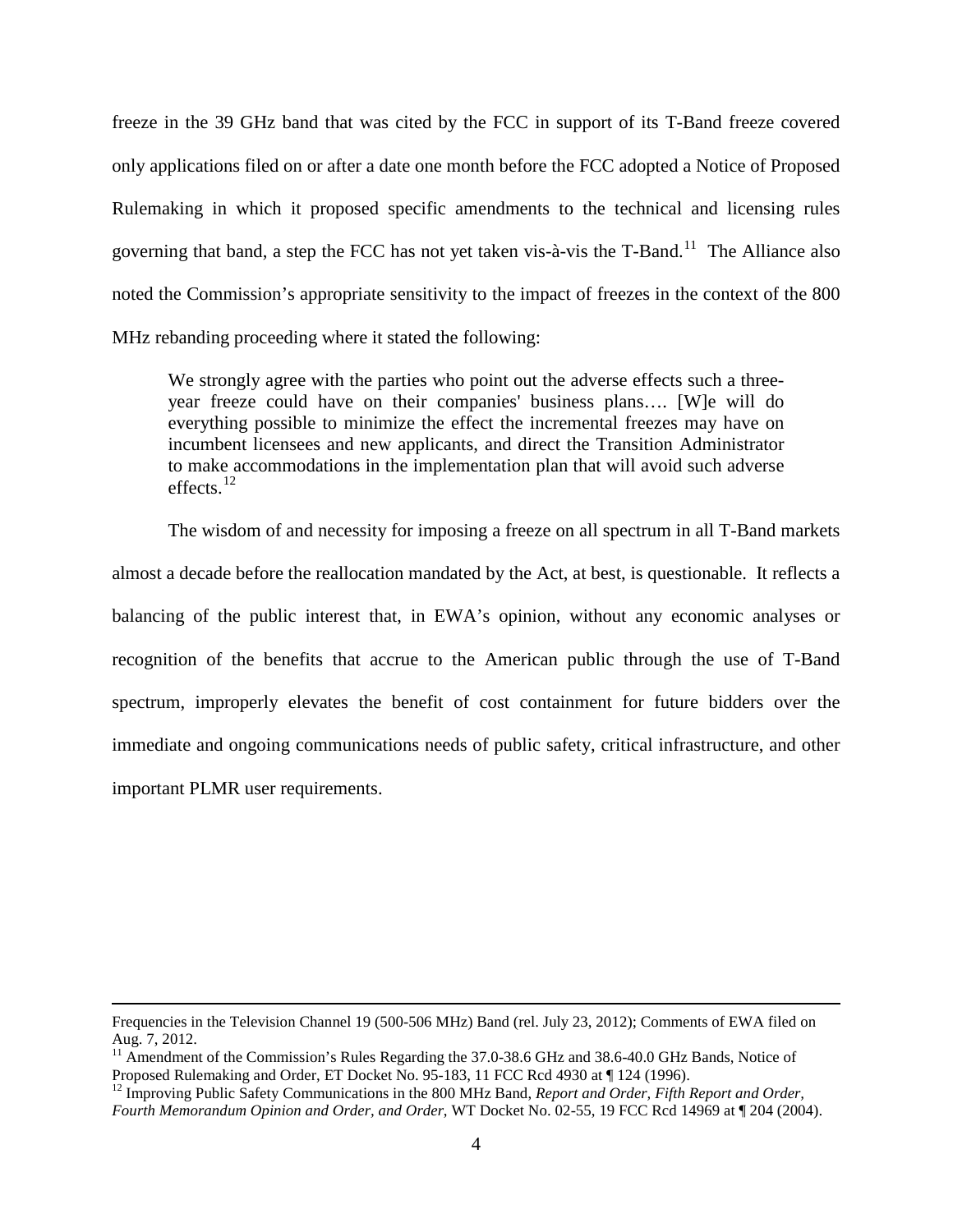freeze in the 39 GHz band that was cited by the FCC in support of its T-Band freeze covered only applications filed on or after a date one month before the FCC adopted a Notice of Proposed Rulemaking in which it proposed specific amendments to the technical and licensing rules governing that band, a step the FCC has not yet taken vis-à-vis the T-Band.<sup>[11](#page-3-0)</sup> The Alliance also noted the Commission's appropriate sensitivity to the impact of freezes in the context of the 800 MHz rebanding proceeding where it stated the following:

We strongly agree with the parties who point out the adverse effects such a threeyear freeze could have on their companies' business plans…. [W]e will do everything possible to minimize the effect the incremental freezes may have on incumbent licensees and new applicants, and direct the Transition Administrator to make accommodations in the implementation plan that will avoid such adverse effects. [12](#page-3-1)

The wisdom of and necessity for imposing a freeze on all spectrum in all T-Band markets almost a decade before the reallocation mandated by the Act, at best, is questionable. It reflects a balancing of the public interest that, in EWA's opinion, without any economic analyses or recognition of the benefits that accrue to the American public through the use of T-Band spectrum, improperly elevates the benefit of cost containment for future bidders over the immediate and ongoing communications needs of public safety, critical infrastructure, and other important PLMR user requirements.

 $\overline{a}$ 

Frequencies in the Television Channel 19 (500-506 MHz) Band (rel. July 23, 2012); Comments of EWA filed on Aug. 7, 2012.

<span id="page-3-0"></span><sup>&</sup>lt;sup>11</sup> Amendment of the Commission's Rules Regarding the 37.0-38.6 GHz and 38.6-40.0 GHz Bands, Notice of Proposed Rulemaking and Order, ET Docket No. 95-183, 11 FCC Rcd 4930 at  $\P$  124 (1996).

<span id="page-3-1"></span><sup>&</sup>lt;sup>12</sup> Improving Public Safety Communications in the 800 MHz Band, *Report and Order, Fifth Report and Order, Fourth Memorandum Opinion and Order, and Order*, WT Docket No. 02-55, 19 FCC Rcd 14969 at ¶ 204 (2004).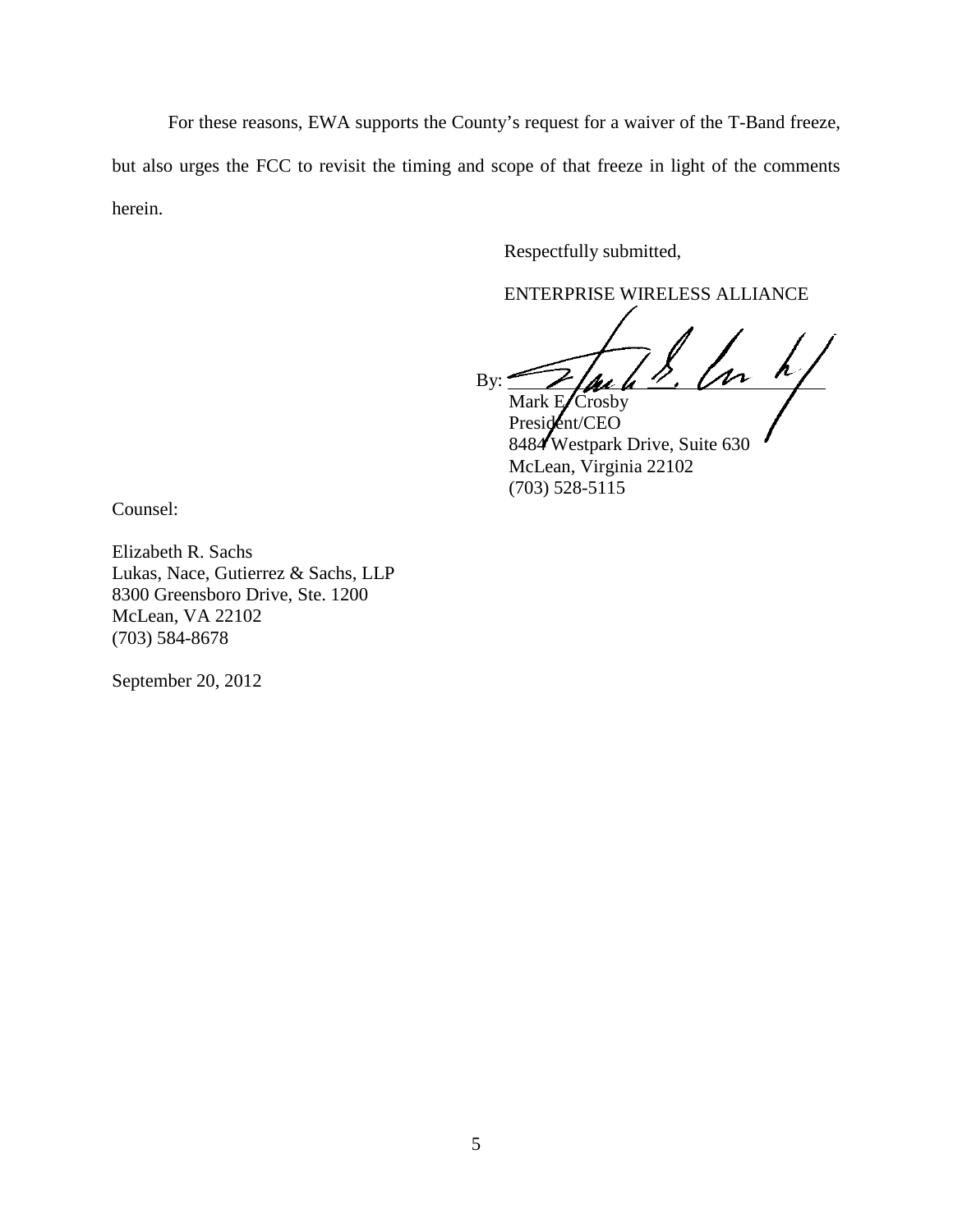For these reasons, EWA supports the County's request for a waiver of the T-Band freeze, but also urges the FCC to revisit the timing and scope of that freeze in light of the comments herein.

Respectfully submitted,

ENTERPRISE WIRELESS ALLIANCE

By:  $\frac{1}{\sqrt{u}}$ 

Mark ECrosby President/CEO 8484 Westpark Drive, Suite 630 McLean, Virginia 22102 (703) 528-5115

Counsel:

Elizabeth R. Sachs Lukas, Nace, Gutierrez & Sachs, LLP 8300 Greensboro Drive, Ste. 1200 McLean, VA 22102 (703) 584-8678

September 20, 2012